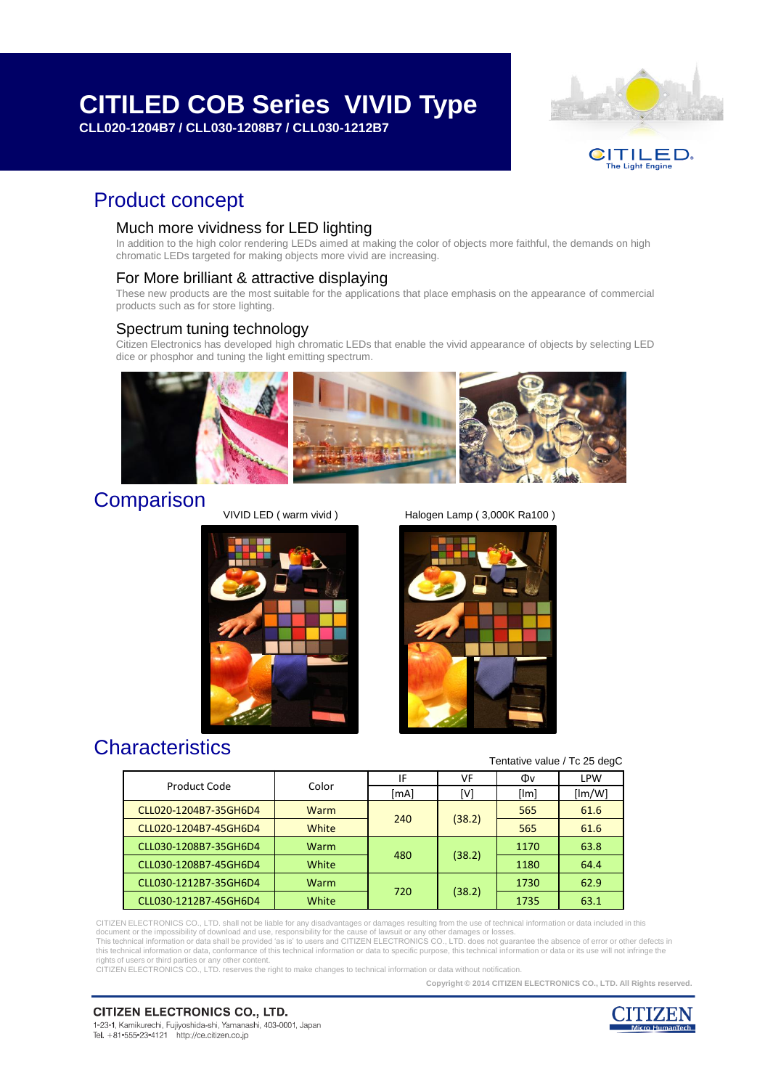# **[CITILED COB Series VIVID Type](#page-1-0)**

**CLL020-1204B7 / CLL030-1208B7 / CLL030-1212B7**



# Product concept

### Much more vividness for LED lighting

In addition to the high color rendering LEDs aimed at making the color of objects more faithful, the demands on high chromatic LEDs targeted for making objects more vivid are increasing.

## For More brilliant & attractive displaying

These new products are the most suitable for the applications that place emphasis on the appearance of commercial products such as for store lighting.

### Spectrum tuning technology

Citizen Electronics has developed high chromatic LEDs that enable the vivid appearance of objects by selecting LED dice or phosphor and tuning the light emitting spectrum.



# **Comparison**

VIVID LED ( warm vivid ) Halogen Lamp ( 3,000K Ra100 )



# **Characteristics**

#### Tentative value / Tc 25 degC

| Product Code          | Color | IF   | VF     | Φv   | <b>LPW</b> |
|-----------------------|-------|------|--------|------|------------|
|                       |       | [mA] | [V]    | [Im] | [Im/W]     |
| CLL020-1204B7-35GH6D4 | Warm  | 240  | (38.2) | 565  | 61.6       |
| CLL020-1204B7-45GH6D4 | White |      |        | 565  | 61.6       |
| CLL030-1208B7-35GH6D4 | Warm  | 480  | (38.2) | 1170 | 63.8       |
| CLL030-1208B7-45GH6D4 | White |      |        | 1180 | 64.4       |
| CLL030-1212B7-35GH6D4 | Warm  | 720  | (38.2) | 1730 | 62.9       |
| CLL030-1212B7-45GH6D4 | White |      |        | 1735 | 63.1       |

CITIZEN ELECTRONICS CO., LTD. shall not be liable for any disadvantages or damages resulting from the use of technical information or data included in this

document or the impossibility of download and use, responsibility for the cause of lawsuit or any other damages or losses.<br>This technical information or data shall be provided 'as is' to users and CITIZEN ELECTRONICS CO., this technical information or data, conformance of this technical information or data to specific purpose, this technical information or data or its use will not infringe the

rights of users or third parties or any other content. CITIZEN ELECTRONICS CO., LTD. reserves the right to make changes to technical information or data without notification.

**Copyright © 2014 CITIZEN ELECTRONICS CO., LTD. All Rights reserved.**